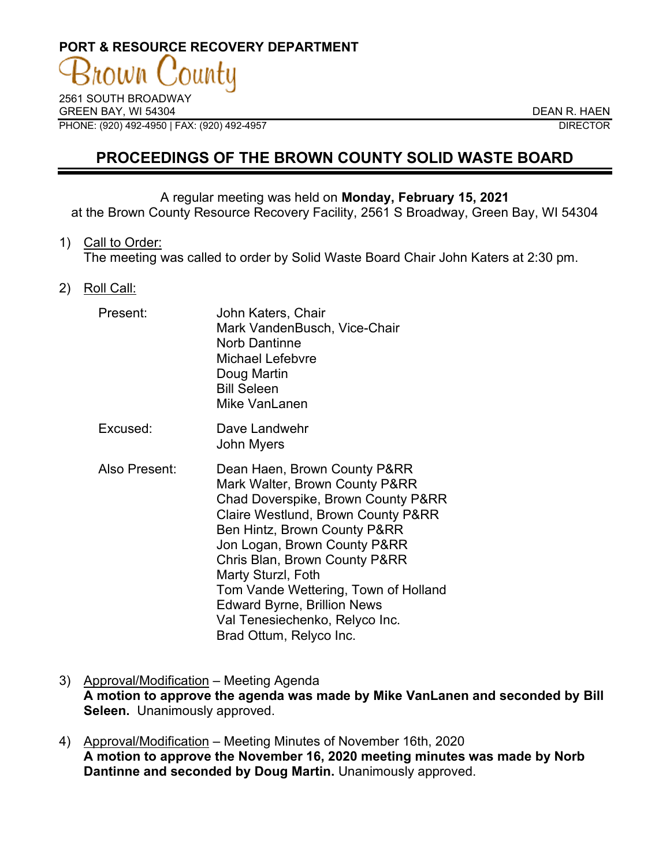# **PORT & RESOURCE RECOVERY DEPARTMENT**

2561 SOUTH BROADWAY GREEN BAY, WI 54304 DEAN R. HAEN PHONE: (920) 492-4950 | FAX: (920) 492-4957 DIRECTOR

# **PROCEEDINGS OF THE BROWN COUNTY SOLID WASTE BOARD**

## A regular meeting was held on **Monday, February 15, 2021**

at the Brown County Resource Recovery Facility, 2561 S Broadway, Green Bay, WI 54304

#### 1) Call to Order:

The meeting was called to order by Solid Waste Board Chair John Katers at 2:30 pm.

### 2) Roll Call:

| Present:      | John Katers, Chair<br>Mark VandenBusch, Vice-Chair<br><b>Norb Dantinne</b><br><b>Michael Lefebvre</b><br>Doug Martin<br><b>Bill Seleen</b><br>Mike VanLanen                                                                                                                                                                                                                                                  |
|---------------|--------------------------------------------------------------------------------------------------------------------------------------------------------------------------------------------------------------------------------------------------------------------------------------------------------------------------------------------------------------------------------------------------------------|
| Excused:      | Dave Landwehr<br>John Myers                                                                                                                                                                                                                                                                                                                                                                                  |
| Also Present: | Dean Haen, Brown County P&RR<br>Mark Walter, Brown County P&RR<br>Chad Doverspike, Brown County P&RR<br>Claire Westlund, Brown County P&RR<br>Ben Hintz, Brown County P&RR<br>Jon Logan, Brown County P&RR<br>Chris Blan, Brown County P&RR<br>Marty Sturzl, Foth<br>Tom Vande Wettering, Town of Holland<br><b>Edward Byrne, Brillion News</b><br>Val Tenesiechenko, Relyco Inc.<br>Brad Ottum, Relyco Inc. |

- 3) Approval/Modification Meeting Agenda **A motion to approve the agenda was made by Mike VanLanen and seconded by Bill Seleen.** Unanimously approved.
- 4) Approval/Modification Meeting Minutes of November 16th, 2020 **A motion to approve the November 16, 2020 meeting minutes was made by Norb Dantinne and seconded by Doug Martin.** Unanimously approved.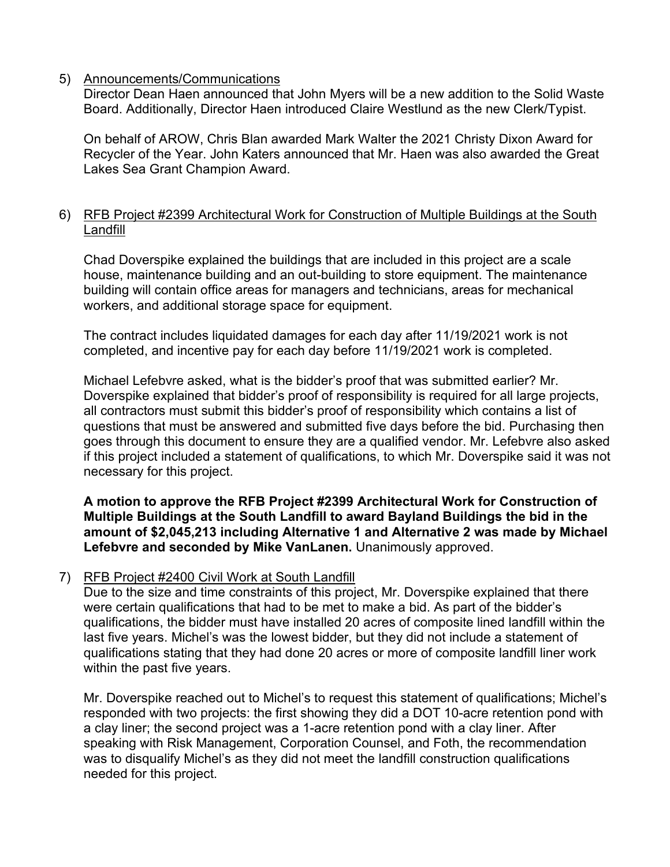# 5) Announcements/Communications

Director Dean Haen announced that John Myers will be a new addition to the Solid Waste Board. Additionally, Director Haen introduced Claire Westlund as the new Clerk/Typist.

On behalf of AROW, Chris Blan awarded Mark Walter the 2021 Christy Dixon Award for Recycler of the Year. John Katers announced that Mr. Haen was also awarded the Great Lakes Sea Grant Champion Award.

### 6) RFB Project #2399 Architectural Work for Construction of Multiple Buildings at the South Landfill

Chad Doverspike explained the buildings that are included in this project are a scale house, maintenance building and an out-building to store equipment. The maintenance building will contain office areas for managers and technicians, areas for mechanical workers, and additional storage space for equipment.

The contract includes liquidated damages for each day after 11/19/2021 work is not completed, and incentive pay for each day before 11/19/2021 work is completed.

Michael Lefebvre asked, what is the bidder's proof that was submitted earlier? Mr. Doverspike explained that bidder's proof of responsibility is required for all large projects, all contractors must submit this bidder's proof of responsibility which contains a list of questions that must be answered and submitted five days before the bid. Purchasing then goes through this document to ensure they are a qualified vendor. Mr. Lefebvre also asked if this project included a statement of qualifications, to which Mr. Doverspike said it was not necessary for this project.

**A motion to approve the RFB Project #2399 Architectural Work for Construction of Multiple Buildings at the South Landfill to award Bayland Buildings the bid in the amount of \$2,045,213 including Alternative 1 and Alternative 2 was made by Michael Lefebvre and seconded by Mike VanLanen.** Unanimously approved.

# 7) RFB Project #2400 Civil Work at South Landfill

Due to the size and time constraints of this project, Mr. Doverspike explained that there were certain qualifications that had to be met to make a bid. As part of the bidder's qualifications, the bidder must have installed 20 acres of composite lined landfill within the last five years. Michel's was the lowest bidder, but they did not include a statement of qualifications stating that they had done 20 acres or more of composite landfill liner work within the past five years.

Mr. Doverspike reached out to Michel's to request this statement of qualifications; Michel's responded with two projects: the first showing they did a DOT 10-acre retention pond with a clay liner; the second project was a 1-acre retention pond with a clay liner. After speaking with Risk Management, Corporation Counsel, and Foth, the recommendation was to disqualify Michel's as they did not meet the landfill construction qualifications needed for this project.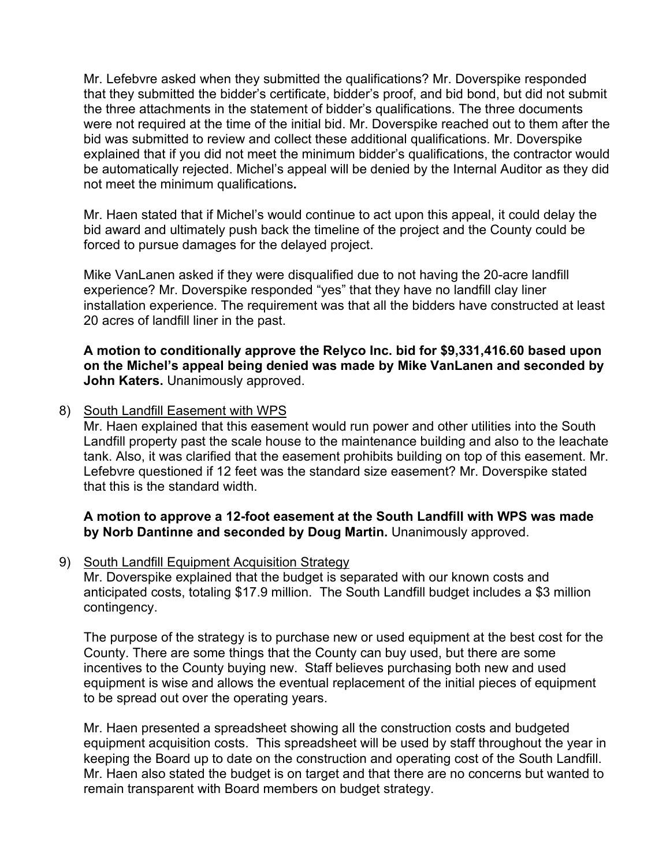Mr. Lefebvre asked when they submitted the qualifications? Mr. Doverspike responded that they submitted the bidder's certificate, bidder's proof, and bid bond, but did not submit the three attachments in the statement of bidder's qualifications. The three documents were not required at the time of the initial bid. Mr. Doverspike reached out to them after the bid was submitted to review and collect these additional qualifications. Mr. Doverspike explained that if you did not meet the minimum bidder's qualifications, the contractor would be automatically rejected. Michel's appeal will be denied by the Internal Auditor as they did not meet the minimum qualifications**.** 

Mr. Haen stated that if Michel's would continue to act upon this appeal, it could delay the bid award and ultimately push back the timeline of the project and the County could be forced to pursue damages for the delayed project.

Mike VanLanen asked if they were disqualified due to not having the 20-acre landfill experience? Mr. Doverspike responded "yes" that they have no landfill clay liner installation experience. The requirement was that all the bidders have constructed at least 20 acres of landfill liner in the past.

**A motion to conditionally approve the Relyco Inc. bid for \$9,331,416.60 based upon on the Michel's appeal being denied was made by Mike VanLanen and seconded by John Katers.** Unanimously approved.

8) South Landfill Easement with WPS

Mr. Haen explained that this easement would run power and other utilities into the South Landfill property past the scale house to the maintenance building and also to the leachate tank. Also, it was clarified that the easement prohibits building on top of this easement. Mr. Lefebvre questioned if 12 feet was the standard size easement? Mr. Doverspike stated that this is the standard width.

# **A motion to approve a 12-foot easement at the South Landfill with WPS was made by Norb Dantinne and seconded by Doug Martin.** Unanimously approved.

9) South Landfill Equipment Acquisition Strategy

Mr. Doverspike explained that the budget is separated with our known costs and anticipated costs, totaling \$17.9 million. The South Landfill budget includes a \$3 million contingency.

The purpose of the strategy is to purchase new or used equipment at the best cost for the County. There are some things that the County can buy used, but there are some incentives to the County buying new. Staff believes purchasing both new and used equipment is wise and allows the eventual replacement of the initial pieces of equipment to be spread out over the operating years.

Mr. Haen presented a spreadsheet showing all the construction costs and budgeted equipment acquisition costs. This spreadsheet will be used by staff throughout the year in keeping the Board up to date on the construction and operating cost of the South Landfill. Mr. Haen also stated the budget is on target and that there are no concerns but wanted to remain transparent with Board members on budget strategy.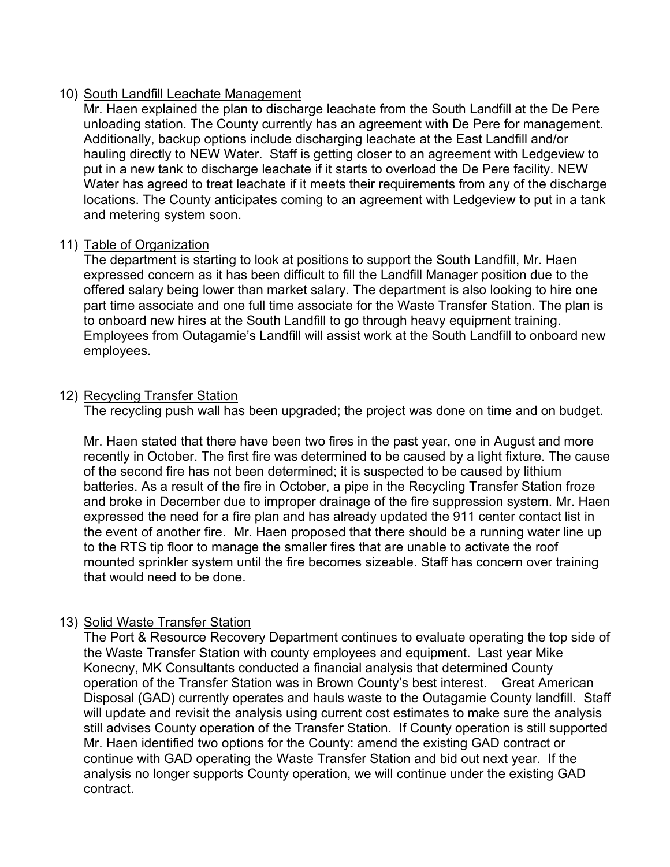# 10) South Landfill Leachate Management

Mr. Haen explained the plan to discharge leachate from the South Landfill at the De Pere unloading station. The County currently has an agreement with De Pere for management. Additionally, backup options include discharging leachate at the East Landfill and/or hauling directly to NEW Water. Staff is getting closer to an agreement with Ledgeview to put in a new tank to discharge leachate if it starts to overload the De Pere facility. NEW Water has agreed to treat leachate if it meets their requirements from any of the discharge locations. The County anticipates coming to an agreement with Ledgeview to put in a tank and metering system soon.

# 11) Table of Organization

The department is starting to look at positions to support the South Landfill, Mr. Haen expressed concern as it has been difficult to fill the Landfill Manager position due to the offered salary being lower than market salary. The department is also looking to hire one part time associate and one full time associate for the Waste Transfer Station. The plan is to onboard new hires at the South Landfill to go through heavy equipment training. Employees from Outagamie's Landfill will assist work at the South Landfill to onboard new employees.

# 12) Recycling Transfer Station

The recycling push wall has been upgraded; the project was done on time and on budget.

Mr. Haen stated that there have been two fires in the past year, one in August and more recently in October. The first fire was determined to be caused by a light fixture. The cause of the second fire has not been determined; it is suspected to be caused by lithium batteries. As a result of the fire in October, a pipe in the Recycling Transfer Station froze and broke in December due to improper drainage of the fire suppression system. Mr. Haen expressed the need for a fire plan and has already updated the 911 center contact list in the event of another fire. Mr. Haen proposed that there should be a running water line up to the RTS tip floor to manage the smaller fires that are unable to activate the roof mounted sprinkler system until the fire becomes sizeable. Staff has concern over training that would need to be done.

# 13) Solid Waste Transfer Station

The Port & Resource Recovery Department continues to evaluate operating the top side of the Waste Transfer Station with county employees and equipment. Last year Mike Konecny, MK Consultants conducted a financial analysis that determined County operation of the Transfer Station was in Brown County's best interest. Great American Disposal (GAD) currently operates and hauls waste to the Outagamie County landfill. Staff will update and revisit the analysis using current cost estimates to make sure the analysis still advises County operation of the Transfer Station. If County operation is still supported Mr. Haen identified two options for the County: amend the existing GAD contract or continue with GAD operating the Waste Transfer Station and bid out next year. If the analysis no longer supports County operation, we will continue under the existing GAD contract.